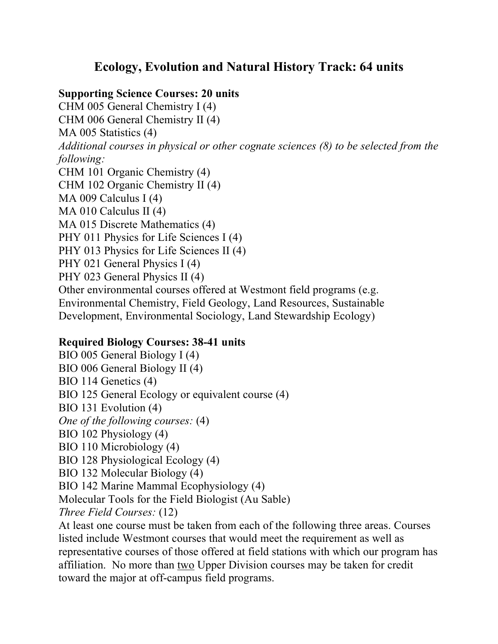## **Ecology, Evolution and Natural History Track: 64 units**

## **Supporting Science Courses: 20 units**

CHM 005 General Chemistry I (4) CHM 006 General Chemistry II (4) MA 005 Statistics (4) *Additional courses in physical or other cognate sciences (8) to be selected from the following:* CHM 101 Organic Chemistry (4) CHM 102 Organic Chemistry II (4) MA 009 Calculus I (4) MA 010 Calculus II (4) MA 015 Discrete Mathematics (4) PHY 011 Physics for Life Sciences I (4) PHY 013 Physics for Life Sciences II (4) PHY 021 General Physics I (4) PHY 023 General Physics II (4) Other environmental courses offered at Westmont field programs (e.g. Environmental Chemistry, Field Geology, Land Resources, Sustainable Development, Environmental Sociology, Land Stewardship Ecology)

## **Required Biology Courses: 38-41 units**

BIO 005 General Biology I (4) BIO 006 General Biology II (4) BIO 114 Genetics (4) BIO 125 General Ecology or equivalent course (4) BIO 131 Evolution (4) *One of the following courses:* (4) BIO 102 Physiology (4) BIO 110 Microbiology (4) BIO 128 Physiological Ecology (4) BIO 132 Molecular Biology (4) BIO 142 Marine Mammal Ecophysiology (4) Molecular Tools for the Field Biologist (Au Sable) *Three Field Courses:* (12) At least one course must be taken from each of the following three areas. Courses listed include Westmont courses that would meet the requirement as well as

representative courses of those offered at field stations with which our program has affiliation. No more than two Upper Division courses may be taken for credit toward the major at off-campus field programs.